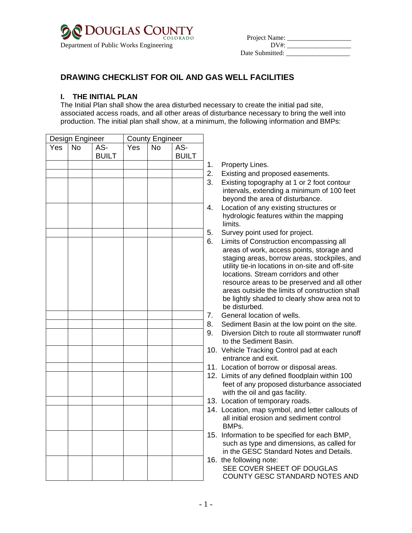

| COLORADO COLORADO                      | COLORADO | Project Name:   |  |
|----------------------------------------|----------|-----------------|--|
| Department of Public Works Engineering |          | DV#             |  |
|                                        |          | Date Submitted: |  |

## **DRAWING CHECKLIST FOR OIL AND GAS WELL FACILITIES**

## **I. THE INITIAL PLAN**

The Initial Plan shall show the area disturbed necessary to create the initial pad site, associated access roads, and all other areas of disturbance necessary to bring the well into production. The initial plan shall show, at a minimum, the following information and BMPs:

|     | Design Engineer |                     |     | <b>County Engineer</b> |                     |     |                                                                                                                                                                                                    |
|-----|-----------------|---------------------|-----|------------------------|---------------------|-----|----------------------------------------------------------------------------------------------------------------------------------------------------------------------------------------------------|
| Yes | <b>No</b>       | AS-<br><b>BUILT</b> | Yes | <b>No</b>              | AS-<br><b>BUILT</b> |     |                                                                                                                                                                                                    |
|     |                 |                     |     |                        |                     | 1.  | Property Lines.                                                                                                                                                                                    |
|     |                 |                     |     |                        |                     | 2.  | Existing and prope                                                                                                                                                                                 |
|     |                 |                     |     |                        |                     | 3.  | Existing topograpl<br>intervals, extendir<br>beyond the area                                                                                                                                       |
|     |                 |                     |     |                        |                     | 4.  | Location of any ex<br>hydrologic feature<br>limits.                                                                                                                                                |
|     |                 |                     |     |                        |                     | 5.  | Survey point used                                                                                                                                                                                  |
|     |                 |                     |     |                        |                     | 6.  | <b>Limits of Construc</b><br>areas of work, ac<br>staging areas, bo<br>utility tie-in locatic<br>locations. Stream<br>resource areas to<br>areas outside the<br>be lightly shaded<br>be disturbed. |
|     |                 |                     |     |                        |                     | 7.  | General location o                                                                                                                                                                                 |
|     |                 |                     |     |                        |                     | 8.  | Sediment Basin at                                                                                                                                                                                  |
|     |                 |                     |     |                        |                     | 9.  | Diversion Ditch to<br>to the Sediment E                                                                                                                                                            |
|     |                 |                     |     |                        |                     |     | 10. Vehicle Tracking (<br>entrance and exit                                                                                                                                                        |
|     |                 |                     |     |                        |                     |     | 11. Location of borrov                                                                                                                                                                             |
|     |                 |                     |     |                        |                     |     | 12. Limits of any defin<br>feet of any propos<br>with the oil and ga                                                                                                                               |
|     |                 |                     |     |                        |                     |     | 13. Location of tempo                                                                                                                                                                              |
|     |                 |                     |     |                        |                     |     | 14. Location, map syr<br>all initial erosion a<br>BMPs.                                                                                                                                            |
|     |                 |                     |     |                        |                     | 15. | Information to be :<br>such as type and<br>in the GESC Star                                                                                                                                        |
|     |                 |                     |     |                        |                     |     | 16. the following note:<br>SEE COVER SHI<br><b>COUNTY GESC</b>                                                                                                                                     |

- osed easements.
- hy at 1 or 2 foot contour ng a minimum of 100 feet of disturbance.
- kisting structures or es within the mapping
- for project.
- tion encompassing all cess points, storage and rrow areas, stockpiles, and ons in on-site and off-site corridors and other be preserved and all other limits of construction shall to clearly show area not to
- of wells.
- It the low point on the site.
- route all stormwater runoff Basin.
- Control pad at each entrance and exit.
- v or disposal areas.
- 1ed floodplain within 100 sed disturbance associated as facility.
- rary roads.
- nbol, and letter callouts of and sediment control
- specified for each BMP, dimensions, as called for **indard Notes and Details.**
- 16. the following note: **EET OF DOUGLAS** STANDARD NOTES AND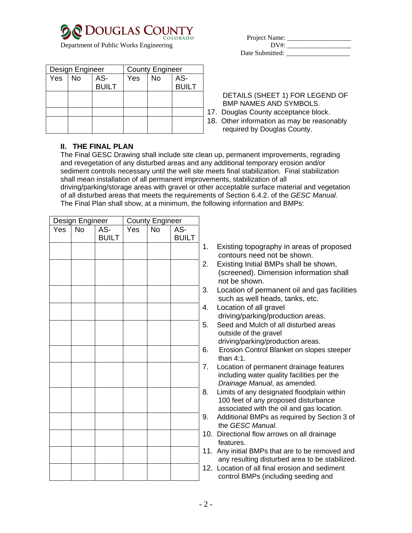

Department of Public Works Engineering

| Design Engineer |           | <b>County Engineer</b> |            |           |              |
|-----------------|-----------|------------------------|------------|-----------|--------------|
| Yes             | <b>No</b> | AS-                    | <b>Yes</b> | <b>No</b> | AS-          |
|                 |           | <b>BUILT</b>           |            |           | <b>BUILT</b> |
|                 |           |                        |            |           |              |
|                 |           |                        |            |           |              |
|                 |           |                        |            |           |              |
|                 |           |                        |            |           |              |
|                 |           |                        |            |           |              |

Date Submitted:

## DETAILS (SHEET 1) FOR LEGEND OF BMP NAMES AND SYMBOLS.

- 17. Douglas County acceptance block.
- 18. Other information as may be reasonably required by Douglas County.

## **II. THE FINAL PLAN**

The Final GESC Drawing shall include site clean up, permanent improvements, regrading and revegetation of any disturbed areas and any additional temporary erosion and/or sediment controls necessary until the well site meets final stabilization. Final stabilization shall mean installation of all permanent improvements, stabilization of all driving/parking/storage areas with gravel or other acceptable surface material and vegetation of all disturbed areas that meets the requirements of Section 6.4.2. of the *GESC Manual*. The Final Plan shall show, at a minimum, the following information and BMPs:

| Design Engineer   |                 | <b>County Engineer</b> |                   |                |                     |                          |
|-------------------|-----------------|------------------------|-------------------|----------------|---------------------|--------------------------|
| $\overline{Y}$ es | $\overline{No}$ | AS-<br><b>BUILT</b>    | $\overline{Y}$ es | $\overline{N}$ | AS-<br><b>BUILT</b> |                          |
|                   |                 |                        |                   |                |                     | ł,                       |
|                   |                 |                        |                   |                |                     | $\overline{\phantom{a}}$ |
|                   |                 |                        |                   |                |                     |                          |
|                   |                 |                        |                   |                |                     | $\ddot{\phantom{0}}$     |
|                   |                 |                        |                   |                |                     | Ĺ                        |
|                   |                 |                        |                   |                |                     | ί                        |
|                   |                 |                        |                   |                |                     |                          |
|                   |                 |                        |                   |                |                     | ł                        |
|                   |                 |                        |                   |                |                     |                          |
|                   |                 |                        |                   |                |                     |                          |
|                   |                 |                        |                   |                |                     | ξ                        |
|                   |                 |                        |                   |                |                     | í                        |
|                   |                 |                        |                   |                |                     |                          |
|                   |                 |                        |                   |                |                     |                          |
|                   |                 |                        |                   |                |                     |                          |
|                   |                 |                        |                   |                |                     |                          |
|                   |                 |                        |                   |                |                     |                          |

- 1. Existing topography in areas of proposed contours need not be shown.
- 2. Existing Initial BMPs shall be shown, (screened). Dimension information shall not be shown.
- 3. Location of permanent oil and gas facilities such as well heads, tanks, etc.
- 4. Location of all gravel driving/parking/production areas.
- 5. Seed and Mulch of all disturbed areas outside of the gravel
	- driving/parking/production areas.
- 6. Erosion Control Blanket on slopes steeper than 4:1.
- 7. Location of permanent drainage features including water quality facilities per the *Drainage Manual*, as amended.
- 8. Limits of any designated floodplain within 100 feet of any proposed disturbance associated with the oil and gas location.
- 9. Additional BMPs as required by Section 3 of the *GESC Manual*.
- 10. Directional flow arrows on all drainage features.
- 11. Any initial BMPs that are to be removed and any resulting disturbed area to be stabilized.
- 12. Location of all final erosion and sediment control BMPs (including seeding and